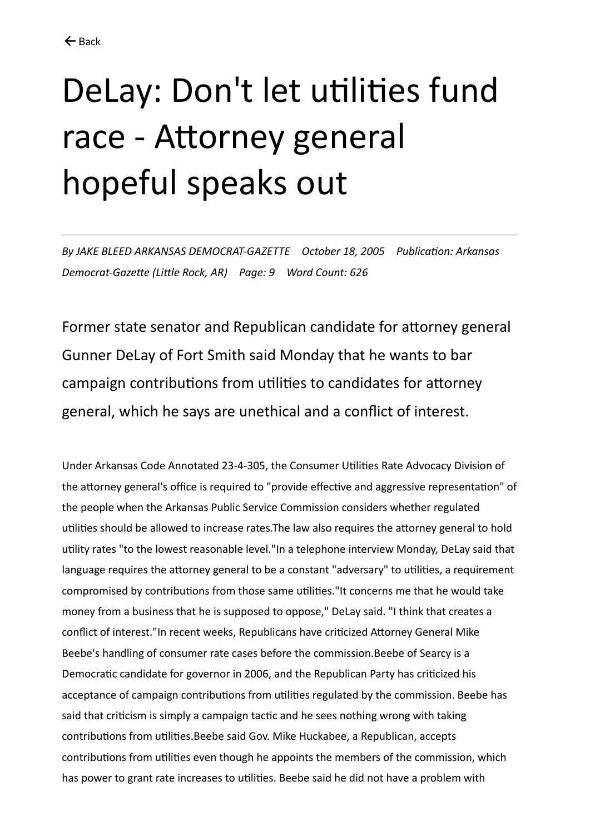## DeLay: Don't let utilities fund race - Attorney general hopeful speaks out

*By JAKE BLEED ARKANSAS DEMOCRAT-GAZETTE October 18, 2005 Publication: Arkansas Democrat-Gazette (Little Rock, AR) Page: 9 Word Count: 626*

Former state senator and Republican candidate for attorney general Gunner DeLay of Fort Smith said Monday that he wants to bar campaign contributions from utilities to candidates for attorney general, which he says are unethical and a conflict of interest.

Under Arkansas Code Annotated 23-4-305, the Consumer Utilities Rate Advocacy Division of the attorney general's office is required to "provide effective and aggressive representation" of the people when the Arkansas Public Service Commission considers whether regulated utilities should be allowed to increase rates.The law also requires the attorney general to hold utility rates "to the lowest reasonable level."In a telephone interview Monday, DeLay said that language requires the attorney general to be a constant "adversary" to utilities, a requirement compromised by contributions from those same utilities."It concerns me that he would take money from a business that he is supposed to oppose," DeLay said. "I think that creates a conflict of interest."In recent weeks, Republicans have criticized Attorney General Mike Beebe's handling of consumer rate cases before the commission.Beebe of Searcy is a Democratic candidate for governor in 2006, and the Republican Party has criticized his acceptance of campaign contributions from utilities regulated by the commission. Beebe has said that criticism is simply a campaign tactic and he sees nothing wrong with taking contributions from utilities.Beebe said Gov. Mike Huckabee, a Republican, accepts contributions from utilities even though he appoints the members of the commission, which has power to grant rate increases to utilities. Beebe said he did not have a problem with